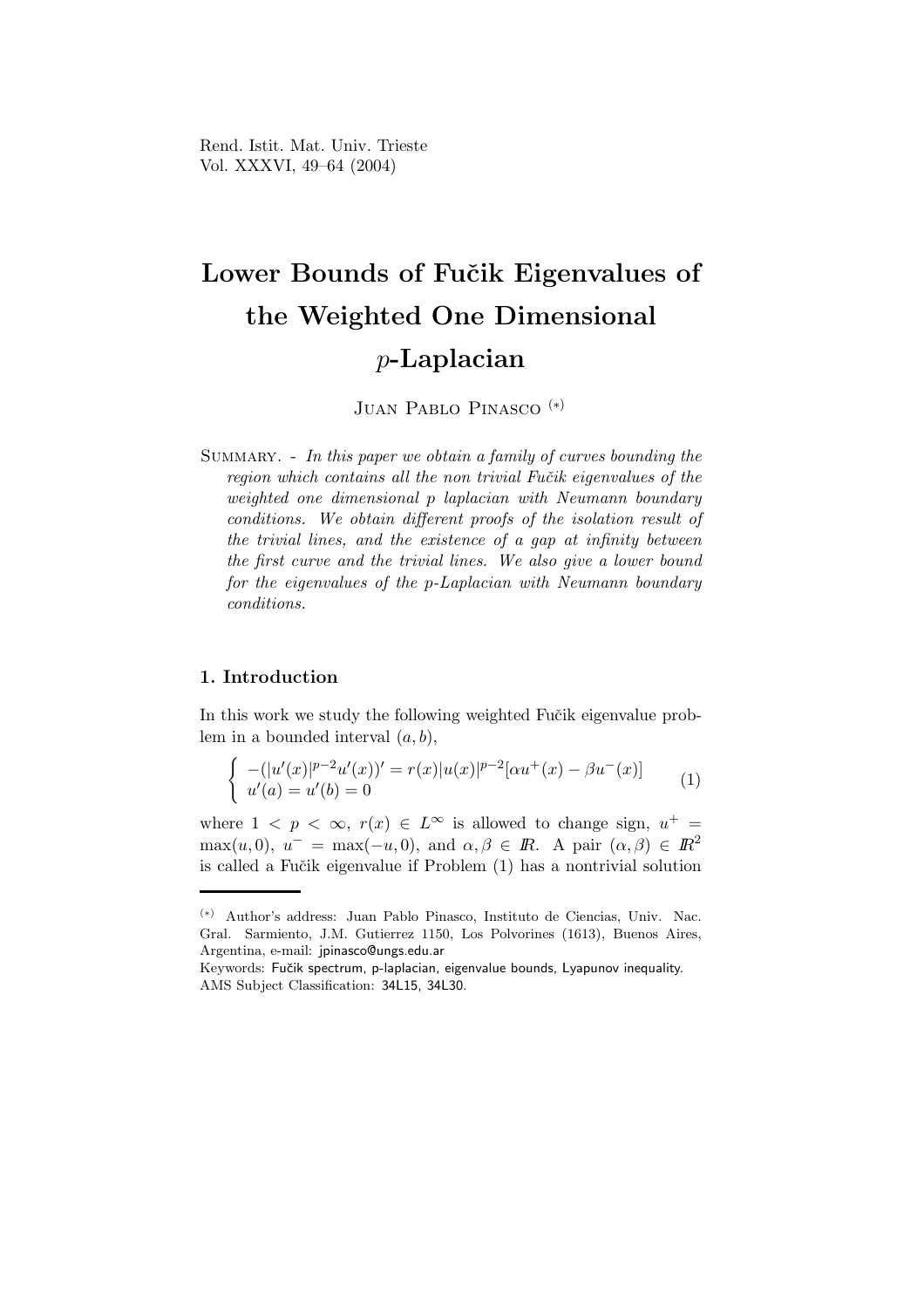Rend. Istit. Mat. Univ. Trieste Vol. XXXVI, 49–64 (2004)

# Lower Bounds of Fučik Eigenvalues of the Weighted One Dimensional p-Laplacian

JUAN PABLO PINASCO<sup>(\*)</sup>

SUMMARY. - In this paper we obtain a family of curves bounding the region which contains all the non trivial Fučik eigenvalues of the weighted one dimensional p laplacian with Neumann boundary conditions. We obtain different proofs of the isolation result of the trivial lines, and the existence of a gap at infinity between the first curve and the trivial lines. We also give a lower bound for the eigenvalues of the p-Laplacian with Neumann boundary conditions.

### 1. Introduction

In this work we study the following weighted Fučik eigenvalue problem in a bounded interval  $(a, b)$ ,

$$
\begin{cases}\n-(|u'(x)|^{p-2}u'(x))' = r(x)|u(x)|^{p-2}[\alpha u^+(x) - \beta u^-(x)] \\
u'(a) = u'(b) = 0\n\end{cases}
$$
\n(1)

where  $1 \leq p \leq \infty$ ,  $r(x) \in L^{\infty}$  is allowed to change sign,  $u^{+} =$  $\max(u, 0), u^- = \max(-u, 0), \text{ and } \alpha, \beta \in \mathbb{R}$ . A pair  $(\alpha, \beta) \in \mathbb{R}^2$ is called a Fučik eigenvalue if Problem  $(1)$  has a nontrivial solution

<sup>(</sup>∗) Author's address: Juan Pablo Pinasco, Instituto de Ciencias, Univ. Nac. Gral. Sarmiento, J.M. Gutierrez 1150, Los Polvorines (1613), Buenos Aires, Argentina, e-mail: jpinasco@ungs.edu.ar

Keywords: Fučik spectrum, p-laplacian, eigenvalue bounds, Lyapunov inequality. AMS Subject Classification: 34L15, 34L30.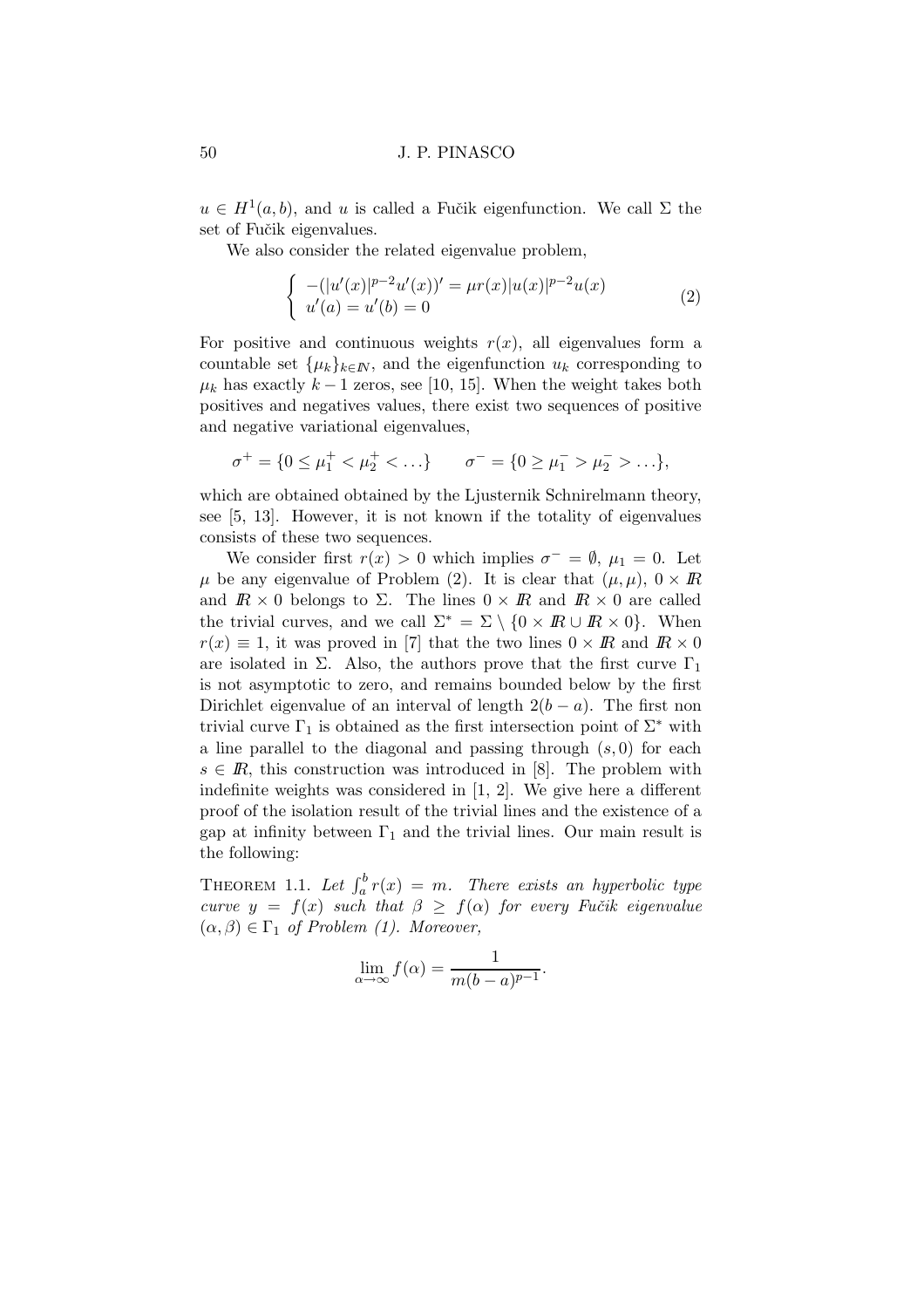$u \in H^1(a, b)$ , and u is called a Fučik eigenfunction. We call  $\Sigma$  the set of Fučik eigenvalues.

We also consider the related eigenvalue problem,

$$
\begin{cases}\n-(|u'(x)|^{p-2}u'(x))' = \mu r(x)|u(x)|^{p-2}u(x) \\
u'(a) = u'(b) = 0\n\end{cases}
$$
\n(2)

For positive and continuous weights  $r(x)$ , all eigenvalues form a countable set  $\{\mu_k\}_{k\in\mathbb{N}}$ , and the eigenfunction  $u_k$  corresponding to  $\mu_k$  has exactly  $k-1$  zeros, see [10, 15]. When the weight takes both positives and negatives values, there exist two sequences of positive and negative variational eigenvalues,

$$
\sigma^+ = \{0 \le \mu_1^+ < \mu_2^+ < \ldots\} \qquad \sigma^- = \{0 \ge \mu_1^- > \mu_2^- > \ldots\},
$$

which are obtained obtained by the Ljusternik Schnirelmann theory, see [5, 13]. However, it is not known if the totality of eigenvalues consists of these two sequences.

We consider first  $r(x) > 0$  which implies  $\sigma^- = \emptyset$ ,  $\mu_1 = 0$ . Let  $\mu$  be any eigenvalue of Problem (2). It is clear that  $(\mu, \mu)$ ,  $0 \times \mathbb{R}$ and  $\mathbb{R} \times 0$  belongs to  $\Sigma$ . The lines  $0 \times \mathbb{R}$  and  $\mathbb{R} \times 0$  are called the trivial curves, and we call  $\Sigma^* = \Sigma \setminus \{0 \times \mathbb{R} \cup \mathbb{R} \times 0\}$ . When  $r(x) \equiv 1$ , it was proved in [7] that the two lines  $0 \times \mathbb{R}$  and  $\mathbb{R} \times 0$ are isolated in  $\Sigma$ . Also, the authors prove that the first curve  $\Gamma_1$ is not asymptotic to zero, and remains bounded below by the first Dirichlet eigenvalue of an interval of length  $2(b - a)$ . The first non trivial curve  $\Gamma_1$  is obtained as the first intersection point of  $\Sigma^*$  with a line parallel to the diagonal and passing through  $(s, 0)$  for each  $s \in \mathbb{R}$ , this construction was introduced in [8]. The problem with indefinite weights was considered in [1, 2]. We give here a different proof of the isolation result of the trivial lines and the existence of a gap at infinity between  $\Gamma_1$  and the trivial lines. Our main result is the following:

THEOREM 1.1. Let  $\int_a^b r(x) = m$ . There exists an hyperbolic type curve  $y = f(x)$  such that  $\beta \ge f(\alpha)$  for every Fučik eigenvalue  $(\alpha, \beta) \in \Gamma_1$  of Problem (1). Moreover,

$$
\lim_{\alpha \to \infty} f(\alpha) = \frac{1}{m(b-a)^{p-1}}.
$$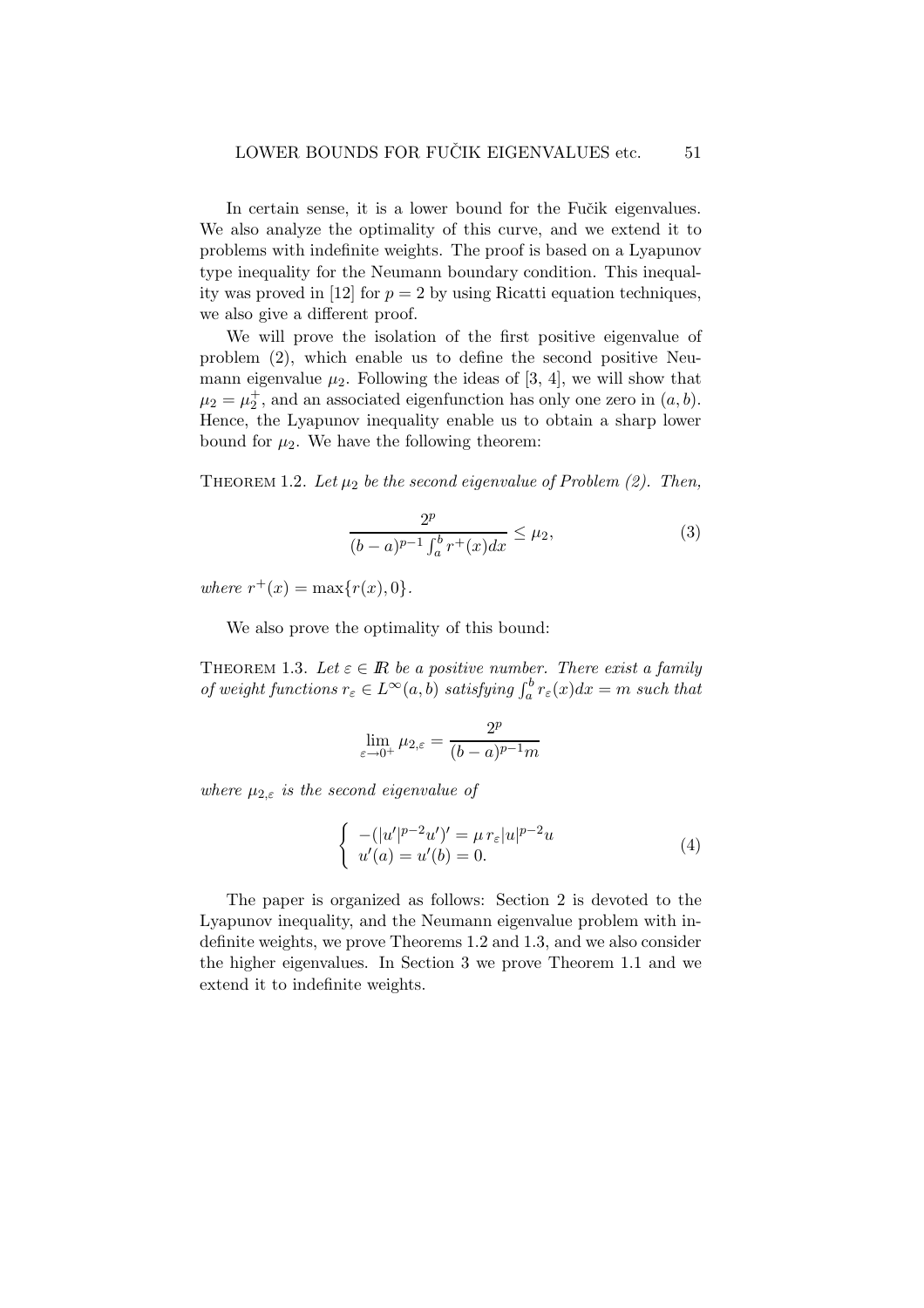In certain sense, it is a lower bound for the Fučik eigenvalues. We also analyze the optimality of this curve, and we extend it to problems with indefinite weights. The proof is based on a Lyapunov type inequality for the Neumann boundary condition. This inequality was proved in [12] for  $p = 2$  by using Ricatti equation techniques, we also give a different proof.

We will prove the isolation of the first positive eigenvalue of problem (2), which enable us to define the second positive Neumann eigenvalue  $\mu_2$ . Following the ideas of [3, 4], we will show that  $\mu_2 = \mu_2^+$ , and an associated eigenfunction has only one zero in  $(a, b)$ . Hence, the Lyapunov inequality enable us to obtain a sharp lower bound for  $\mu_2$ . We have the following theorem:

THEOREM 1.2. Let  $\mu_2$  be the second eigenvalue of Problem (2). Then,

$$
\frac{2^p}{(b-a)^{p-1} \int_a^b r^+(x) dx} \le \mu_2,\tag{3}
$$

where  $r^+(x) = \max\{r(x), 0\}.$ 

We also prove the optimality of this bound:

THEOREM 1.3. Let  $\varepsilon \in \mathbb{R}$  be a positive number. There exist a family of weight functions  $r_{\varepsilon} \in L^{\infty}(a, b)$  satisfying  $\int_a^b r_{\varepsilon}(x) dx = m$  such that

$$
\lim_{\varepsilon \to 0^+} \mu_{2,\varepsilon} = \frac{2^p}{(b-a)^{p-1}m}
$$

where  $\mu_{2,\varepsilon}$  is the second eigenvalue of

$$
\begin{cases}\n-(|u'|^{p-2}u')' = \mu r_{\varepsilon}|u|^{p-2}u \\
u'(a) = u'(b) = 0.\n\end{cases}
$$
\n(4)

The paper is organized as follows: Section 2 is devoted to the Lyapunov inequality, and the Neumann eigenvalue problem with indefinite weights, we prove Theorems 1.2 and 1.3, and we also consider the higher eigenvalues. In Section 3 we prove Theorem 1.1 and we extend it to indefinite weights.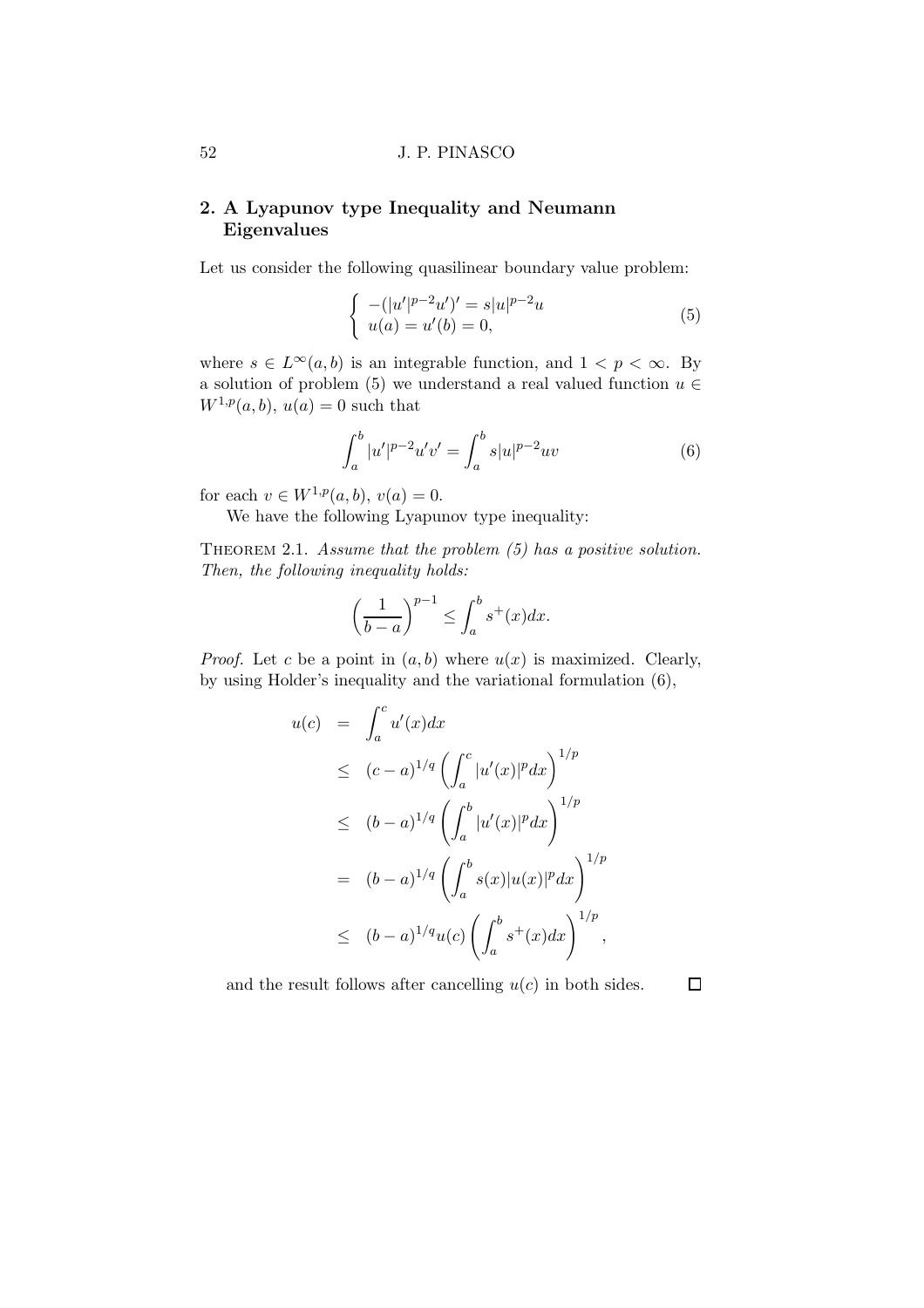# 2. A Lyapunov type Inequality and Neumann Eigenvalues

Let us consider the following quasilinear boundary value problem:

$$
\begin{cases}\n-(|u'|^{p-2}u')' = s|u|^{p-2}u\\ \nu(a) = u'(b) = 0,\n\end{cases}
$$
\n(5)

where  $s \in L^{\infty}(a, b)$  is an integrable function, and  $1 < p < \infty$ . By a solution of problem (5) we understand a real valued function  $u \in$  $W^{1,p}(a, b), u(a) = 0$  such that

$$
\int_{a}^{b} |u'|^{p-2} u'v' = \int_{a}^{b} s|u|^{p-2}uv
$$
\n(6)

for each  $v \in W^{1,p}(a, b), v(a) = 0.$ 

We have the following Lyapunov type inequality:

THEOREM 2.1. Assume that the problem  $(5)$  has a positive solution. Then, the following inequality holds:

$$
\left(\frac{1}{b-a}\right)^{p-1} \le \int_a^b s^+(x)dx.
$$

*Proof.* Let c be a point in  $(a, b)$  where  $u(x)$  is maximized. Clearly, by using Holder's inequality and the variational formulation (6),

$$
u(c) = \int_a^c u'(x)dx
$$
  
\n
$$
\leq (c-a)^{1/q} \left( \int_a^c |u'(x)|^p dx \right)^{1/p}
$$
  
\n
$$
\leq (b-a)^{1/q} \left( \int_a^b |u'(x)|^p dx \right)^{1/p}
$$
  
\n
$$
= (b-a)^{1/q} \left( \int_a^b s(x) |u(x)|^p dx \right)^{1/p}
$$
  
\n
$$
\leq (b-a)^{1/q} u(c) \left( \int_a^b s^+(x) dx \right)^{1/p},
$$

and the result follows after cancelling  $u(c)$  in both sides.  $\Box$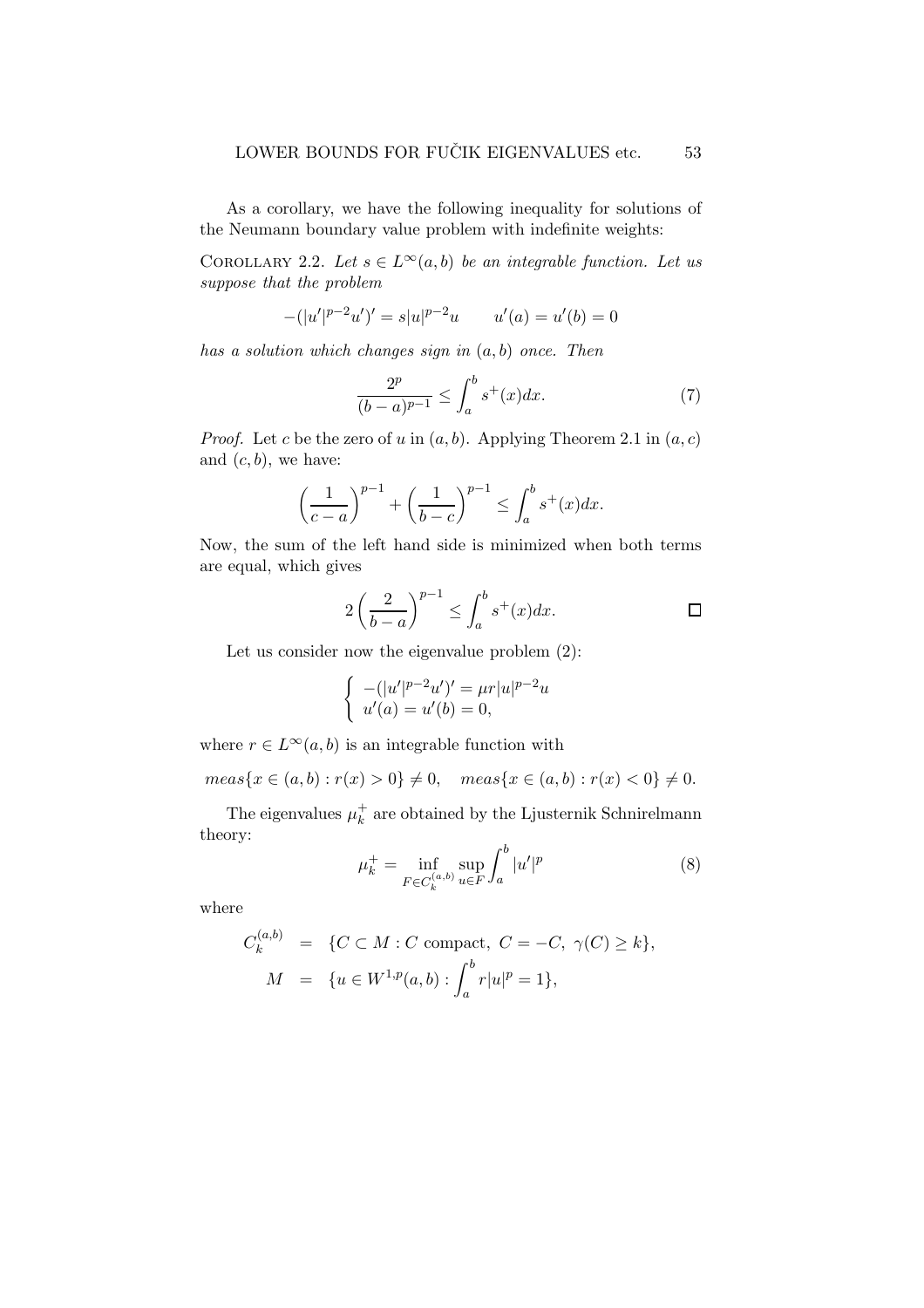As a corollary, we have the following inequality for solutions of the Neumann boundary value problem with indefinite weights:

COROLLARY 2.2. Let  $s \in L^{\infty}(a, b)$  be an integrable function. Let us suppose that the problem

$$
-(|u'|^{p-2}u')' = s|u|^{p-2}u \qquad u'(a) = u'(b) = 0
$$

has a solution which changes sign in  $(a, b)$  once. Then

$$
\frac{2^p}{(b-a)^{p-1}} \le \int_a^b s^+(x)dx.
$$
 (7)

*Proof.* Let c be the zero of u in  $(a, b)$ . Applying Theorem 2.1 in  $(a, c)$ and  $(c, b)$ , we have:

$$
\left(\frac{1}{c-a}\right)^{p-1} + \left(\frac{1}{b-c}\right)^{p-1} \le \int_a^b s^+(x)dx.
$$

Now, the sum of the left hand side is minimized when both terms are equal, which gives

$$
2\left(\frac{2}{b-a}\right)^{p-1} \le \int_a^b s^+(x)dx.
$$

Let us consider now the eigenvalue problem (2):

$$
\begin{cases}\n-(|u'|^{p-2}u')' = \mu r |u|^{p-2}u \\
u'(a) = u'(b) = 0,\n\end{cases}
$$

where  $r \in L^{\infty}(a, b)$  is an integrable function with

 $meas\{x \in (a,b) : r(x) > 0\} \neq 0, \quad meas\{x \in (a,b) : r(x) < 0\} \neq 0.$ 

The eigenvalues  $\mu_k^+$  are obtained by the Ljusternik Schnirelmann theory:

$$
\mu_k^+ = \inf_{F \in C_k^{(a,b)}} \sup_{u \in F} \int_a^b |u'|^p \tag{8}
$$

where

$$
C_k^{(a,b)} = \{ C \subset M : C \text{ compact}, C = -C, \gamma(C) \ge k \},\
$$
  

$$
M = \{ u \in W^{1,p}(a,b) : \int_a^b r|u|^p = 1 \},\
$$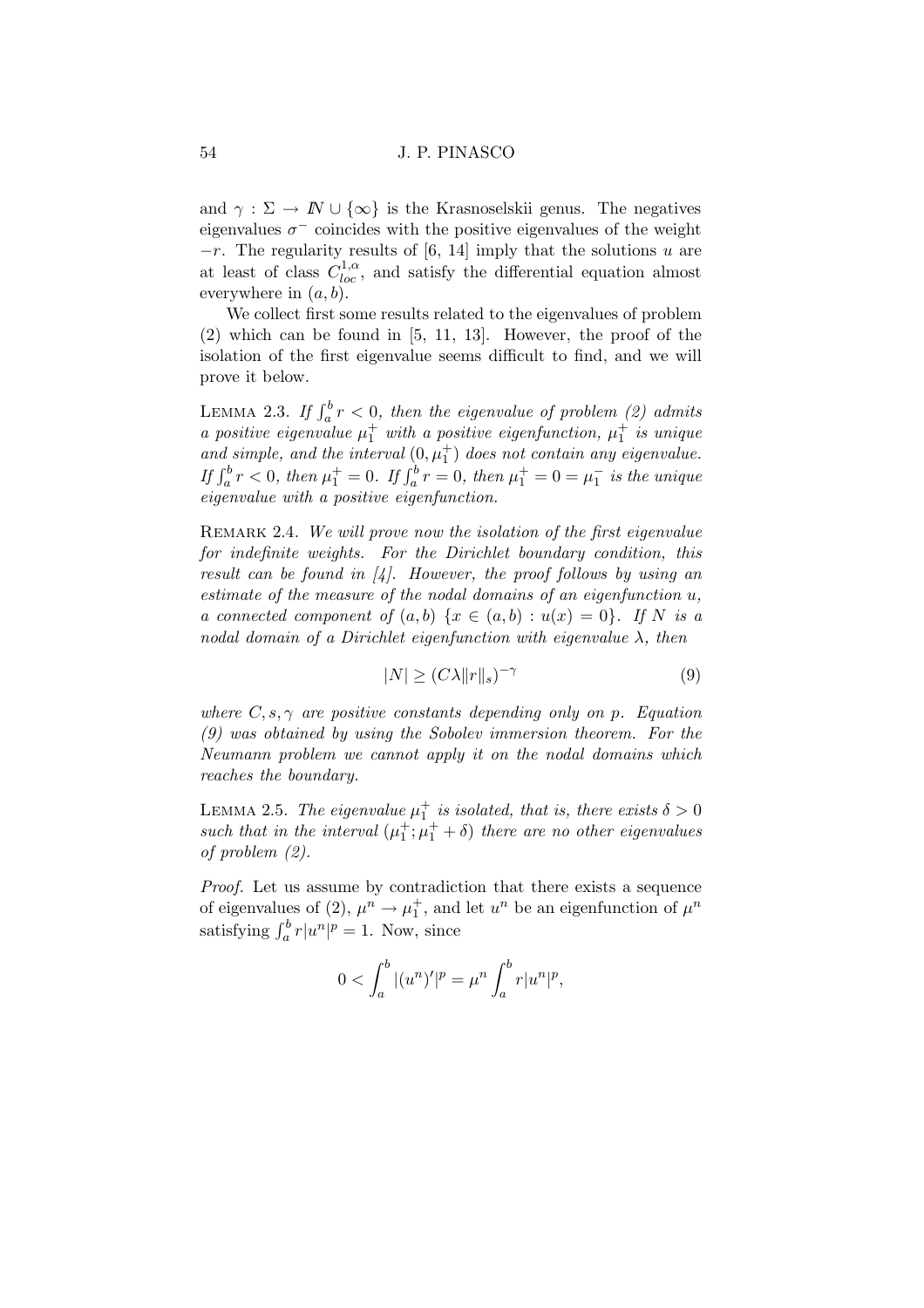and  $\gamma : \Sigma \to \mathbb{N} \cup \{\infty\}$  is the Krasnoselskii genus. The negatives eigenvalues  $\sigma^-$  coincides with the positive eigenvalues of the weight  $-r$ . The regularity results of [6, 14] imply that the solutions u are at least of class  $C_{loc}^{1,\alpha}$ , and satisfy the differential equation almost everywhere in  $(a, b)$ .

We collect first some results related to the eigenvalues of problem (2) which can be found in [5, 11, 13]. However, the proof of the isolation of the first eigenvalue seems difficult to find, and we will prove it below.

LEMMA 2.3. If  $\int_a^b r < 0$ , then the eigenvalue of problem (2) admits a positive eigenvalue  $\mu_1^+$  with a positive eigenfunction,  $\mu_1^+$  is unique a positive eigenvalue  $\mu_1$  and a positive eigenvaluetion,  $\mu_1$  is and any and simple, and the interval  $(0, \mu_1^+)$  does not contain any eigenvalue. If  $\int_a^b r < 0$ , then  $\mu_1^+ = 0$ . If  $\int_a^b r = 0$ , then  $\mu_1^+ = 0 = \mu_1^-$  is the unique eigenvalue with a positive eigenfunction.

REMARK 2.4. We will prove now the isolation of the first eigenvalue for indefinite weights. For the Dirichlet boundary condition, this result can be found in  $\mathcal{A}$ . However, the proof follows by using an estimate of the measure of the nodal domains of an eigenfunction u, a connected component of  $(a, b) \{x \in (a, b) : u(x) = 0\}$ . If N is a nodal domain of a Dirichlet eigenfunction with eigenvalue  $\lambda$ , then

$$
|N| \ge (C\lambda \|r\|_s)^{-\gamma} \tag{9}
$$

where  $C, s, \gamma$  are positive constants depending only on p. Equation (9) was obtained by using the Sobolev immersion theorem. For the Neumann problem we cannot apply it on the nodal domains which reaches the boundary.

LEMMA 2.5. The eigenvalue  $\mu_1^+$  is isolated, that is, there exists  $\delta > 0$ such that in the interval  $(\mu_1^+; \mu_1^+ + \delta)$  there are no other eigenvalues of problem (2).

Proof. Let us assume by contradiction that there exists a sequence of eigenvalues of (2),  $\mu^n \to \mu_1^+$ , and let  $u^n$  be an eigenfunction of  $\mu^n$ satisfying  $\int_a^b r|u^n|^p = 1$ . Now, since

$$
0 < \int_{a}^{b} |(u^{n})'|^{p} = \mu^{n} \int_{a}^{b} r|u^{n}|^{p},
$$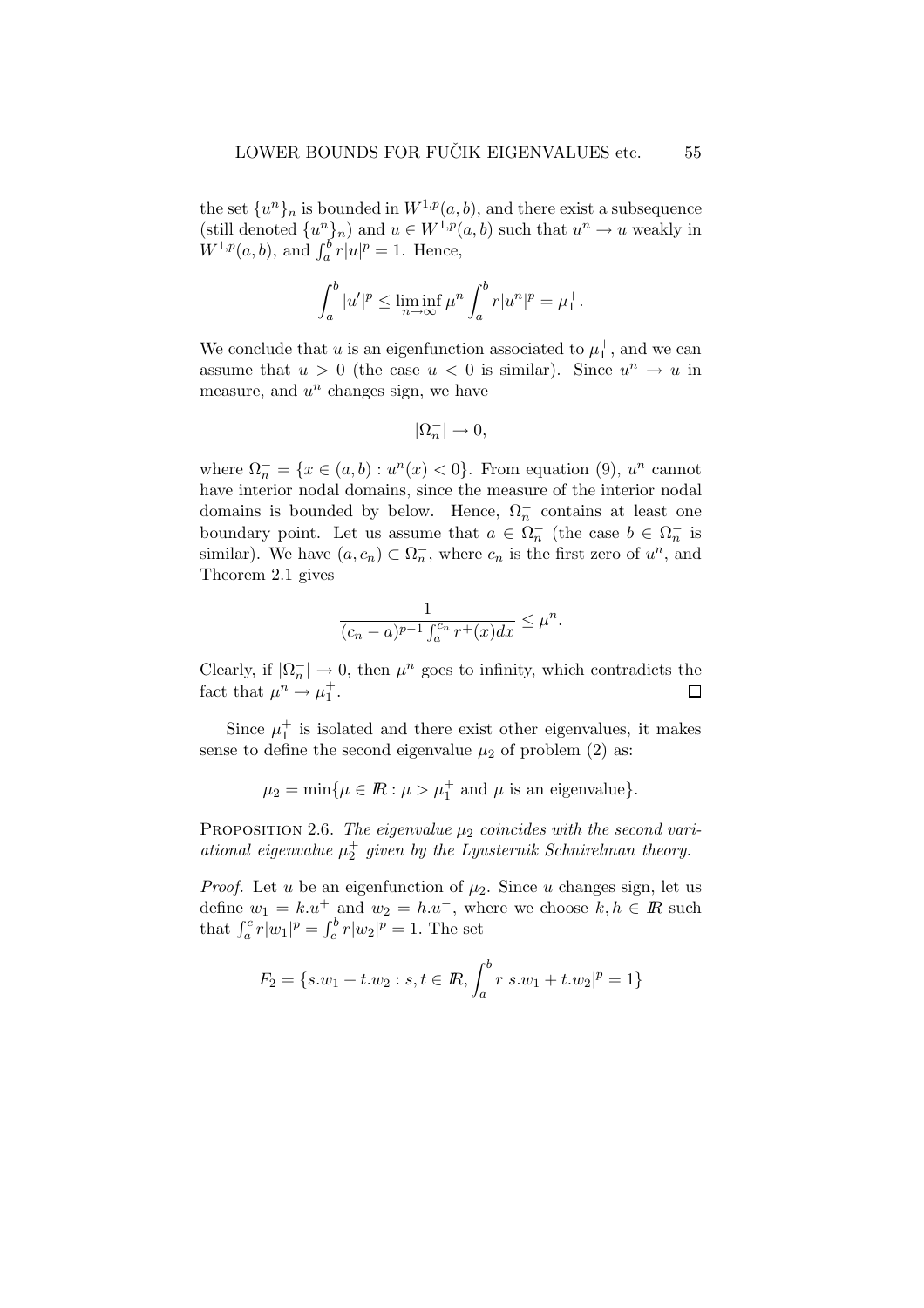the set  $\{u^{n}\}_n$  is bounded in  $W^{1,p}(a, b)$ , and there exist a subsequence (still denoted  $\{u^n\}_n$ ) and  $u \in W^{1,p}(a,b)$  such that  $u^n \to u$  weakly in  $W^{1,p}(a, b)$ , and  $\int_a^b r|u|^p = 1$ . Hence,

$$
\int_a^b |u'|^p \le \liminf_{n \to \infty} \mu^n \int_a^b r |u^n|^p = \mu_1^+.
$$

We conclude that u is an eigenfunction associated to  $\mu_1^+$ , and we can assume that  $u > 0$  (the case  $u < 0$  is similar). Since  $u^n \to u$  in measure, and  $u^n$  changes sign, we have

$$
|\Omega_n^-|\to 0,
$$

where  $\Omega_n^- = \{x \in (a, b) : u^n(x) < 0\}$ . From equation (9),  $u^n$  cannot have interior nodal domains, since the measure of the interior nodal domains is bounded by below. Hence,  $\Omega_n^-$  contains at least one boundary point. Let us assume that  $a \in \Omega_n^-$  (the case  $b \in \Omega_n^-$  is similar). We have  $(a, c_n) \subset \Omega_n^-$ , where  $c_n$  is the first zero of  $u^n$ , and Theorem 2.1 gives

$$
\frac{1}{(c_n-a)^{p-1}\int_a^{c_n} r^+(x)dx} \leq \mu^n.
$$

Clearly, if  $|\Omega_n^-| \to 0$ , then  $\mu^n$  goes to infinity, which contradicts the fact that  $\mu^n \to \mu_1^+$ .  $\Box$ 

Since  $\mu_1^+$  is isolated and there exist other eigenvalues, it makes sense to define the second eigenvalue  $\mu_2$  of problem (2) as:

$$
\mu_2 = \min\{\mu \in \mathbb{R} : \mu > \mu_1^+ \text{ and } \mu \text{ is an eigenvalue}\}.
$$

PROPOSITION 2.6. The eigenvalue  $\mu_2$  coincides with the second variational eigenvalue  $\mu_2^+$  given by the Lyusternik Schnirelman theory.

*Proof.* Let u be an eigenfunction of  $\mu_2$ . Since u changes sign, let us define  $w_1 = k.u^+$  and  $w_2 = h.u^-$ , where we choose  $k, h \in \mathbb{R}$  such that  $\int_a^c r|w_1|^p = \int_c^b r|w_2|^p = 1$ . The set

$$
F_2 = \{s.w_1 + t.w_2 : s, t \in \mathbb{R}, \int_a^b r | s.w_1 + t.w_2 |^p = 1\}
$$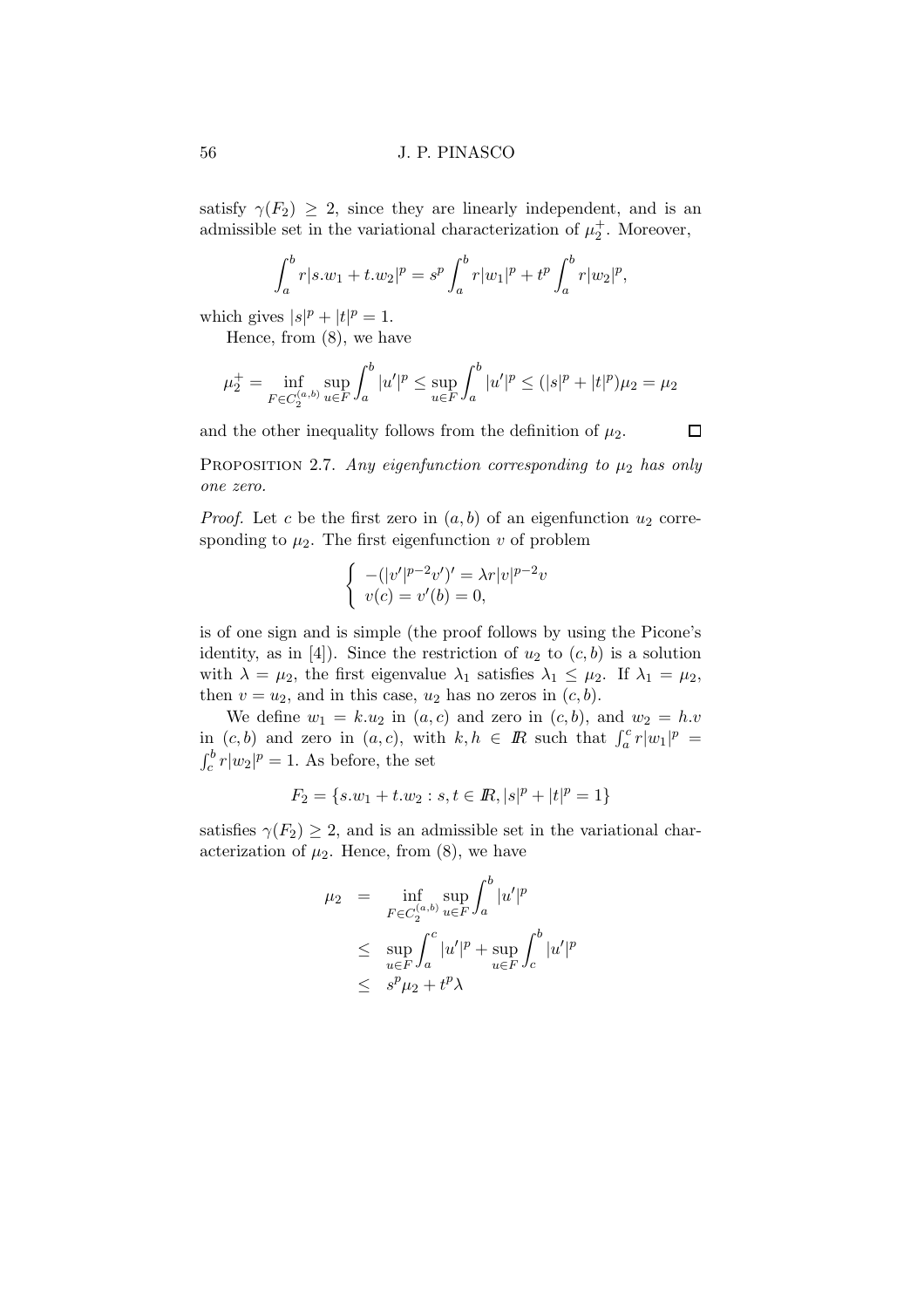satisfy  $\gamma(F_2) \geq 2$ , since they are linearly independent, and is an admissible set in the variational characterization of  $\mu_2^+$ . Moreover,

$$
\int_a^b r|s.w_1 + t.w_2|^p = s^p \int_a^b r|w_1|^p + t^p \int_a^b r|w_2|^p,
$$

which gives  $|s|^p + |t|^p = 1$ .

Hence, from (8), we have

$$
\mu_2^+ = \inf_{F \in C_2^{(a,b)}} \sup_{u \in F} \int_a^b |u'|^p \le \sup_{u \in F} \int_a^b |u'|^p \le (|s|^p + |t|^p)\mu_2 = \mu_2
$$

and the other inequality follows from the definition of  $\mu_2$ .

 $\Box$ 

PROPOSITION 2.7. Any eigenfunction corresponding to  $\mu_2$  has only one zero.

*Proof.* Let c be the first zero in  $(a, b)$  of an eigenfunction  $u_2$  corresponding to  $\mu_2$ . The first eigenfunction v of problem

$$
\begin{cases}\n-(|v'|^{p-2}v')' = \lambda r|v|^{p-2}v \\
v(c) = v'(b) = 0,\n\end{cases}
$$

is of one sign and is simple (the proof follows by using the Picone's identity, as in [4]). Since the restriction of  $u_2$  to  $(c, b)$  is a solution with  $\lambda = \mu_2$ , the first eigenvalue  $\lambda_1$  satisfies  $\lambda_1 \leq \mu_2$ . If  $\lambda_1 = \mu_2$ , then  $v = u_2$ , and in this case,  $u_2$  has no zeros in  $(c, b)$ .

We define  $w_1 = k.u_2$  in  $(a, c)$  and zero in  $(c, b)$ , and  $w_2 = h.v$ in  $(c, b)$  and zero in  $(a, c)$ , with  $k, h \in \mathbb{R}$  such that  $\int_a^c r |w_1|^p =$  $\int_c^b r|w_2|^p = 1$ . As before, the set

$$
F_2=\{s.w_1+t.w_2:s,t\in{I\!\!R},|s|^p+|t|^p=1\}
$$

satisfies  $\gamma(F_2) \geq 2$ , and is an admissible set in the variational characterization of  $\mu_2$ . Hence, from (8), we have

$$
\mu_2 = \inf_{F \in C_2^{(a,b)}} \sup_{u \in F} \int_a^b |u'|^p
$$
  
\n
$$
\leq \sup_{u \in F} \int_a^c |u'|^p + \sup_{u \in F} \int_c^b |u'|^p
$$
  
\n
$$
\leq s^p \mu_2 + t^p \lambda
$$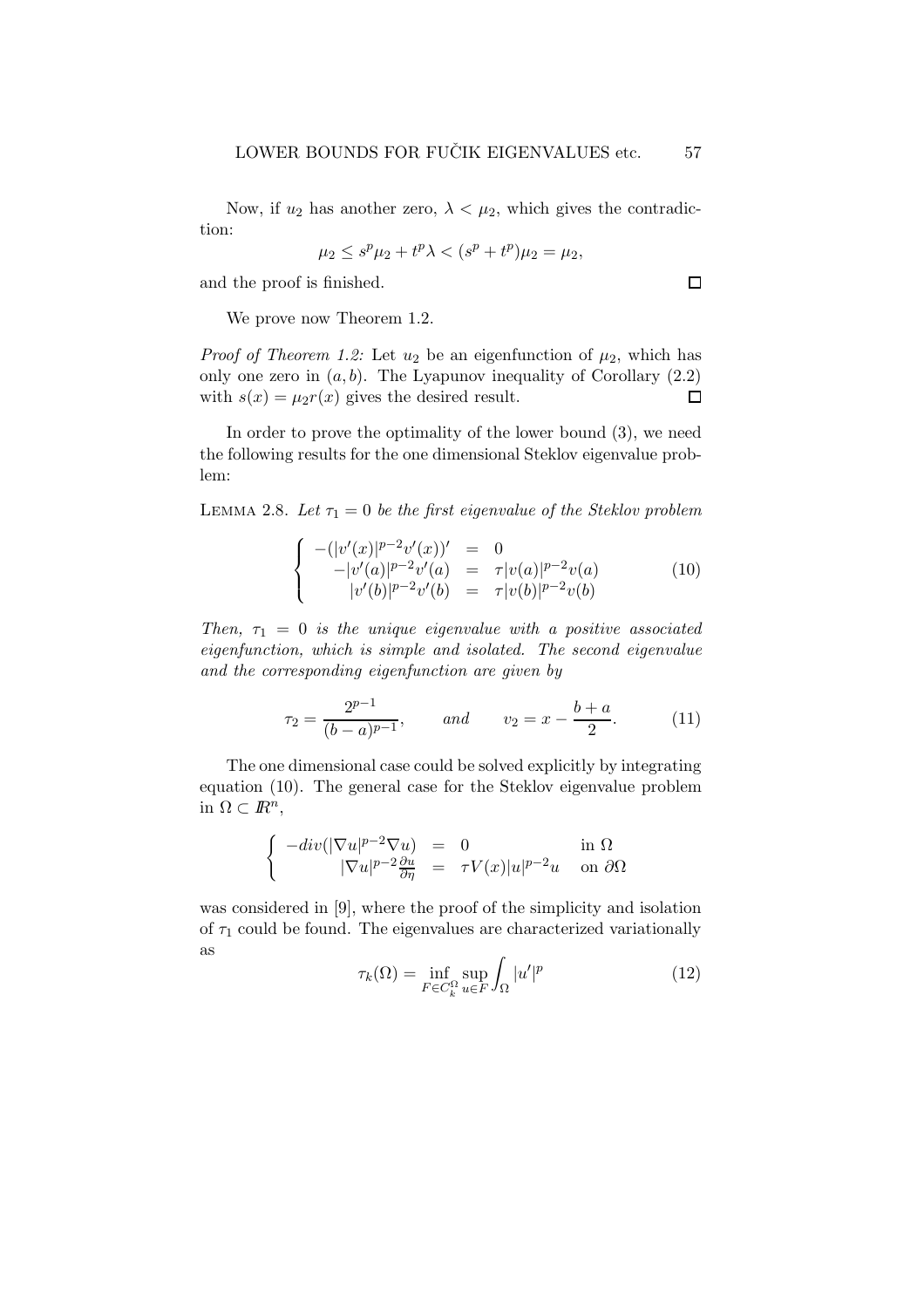Now, if  $u_2$  has another zero,  $\lambda < \mu_2$ , which gives the contradiction:

$$
\mu_2 \le s^p \mu_2 + t^p \lambda < (s^p + t^p) \mu_2 = \mu_2,
$$

and the proof is finished.

We prove now Theorem 1.2.

*Proof of Theorem 1.2:* Let  $u_2$  be an eigenfunction of  $\mu_2$ , which has only one zero in  $(a, b)$ . The Lyapunov inequality of Corollary  $(2.2)$ with  $s(x) = \mu_2 r(x)$  gives the desired result.  $\Box$ 

In order to prove the optimality of the lower bound (3), we need the following results for the one dimensional Steklov eigenvalue problem:

LEMMA 2.8. Let  $\tau_1 = 0$  be the first eigenvalue of the Steklov problem

$$
\begin{cases}\n-(|v'(x)|^{p-2}v'(x))' &= 0\\ \n-|v'(a)|^{p-2}v'(a) &= \tau|v(a)|^{p-2}v(a)\\ \n|v'(b)|^{p-2}v'(b) &= \tau|v(b)|^{p-2}v(b)\n\end{cases}
$$
\n(10)

Then,  $\tau_1 = 0$  is the unique eigenvalue with a positive associated eigenfunction, which is simple and isolated. The second eigenvalue and the corresponding eigenfunction are given by

$$
\tau_2 = \frac{2^{p-1}}{(b-a)^{p-1}}, \qquad \text{and} \qquad v_2 = x - \frac{b+a}{2}.\tag{11}
$$

The one dimensional case could be solved explicitly by integrating equation (10). The general case for the Steklov eigenvalue problem in  $\Omega \subset \mathbb{R}^n$ ,

$$
\begin{cases}\n-\operatorname{div}(|\nabla u|^{p-2}\nabla u) = 0 & \text{in } \Omega \\
|\nabla u|^{p-2}\frac{\partial u}{\partial \eta} = \tau V(x)|u|^{p-2}u & \text{on } \partial\Omega\n\end{cases}
$$

was considered in [9], where the proof of the simplicity and isolation of  $\tau_1$  could be found. The eigenvalues are characterized variationally as

$$
\tau_k(\Omega) = \inf_{F \in C_k^{\Omega}} \sup_{u \in F} \int_{\Omega} |u'|^p \tag{12}
$$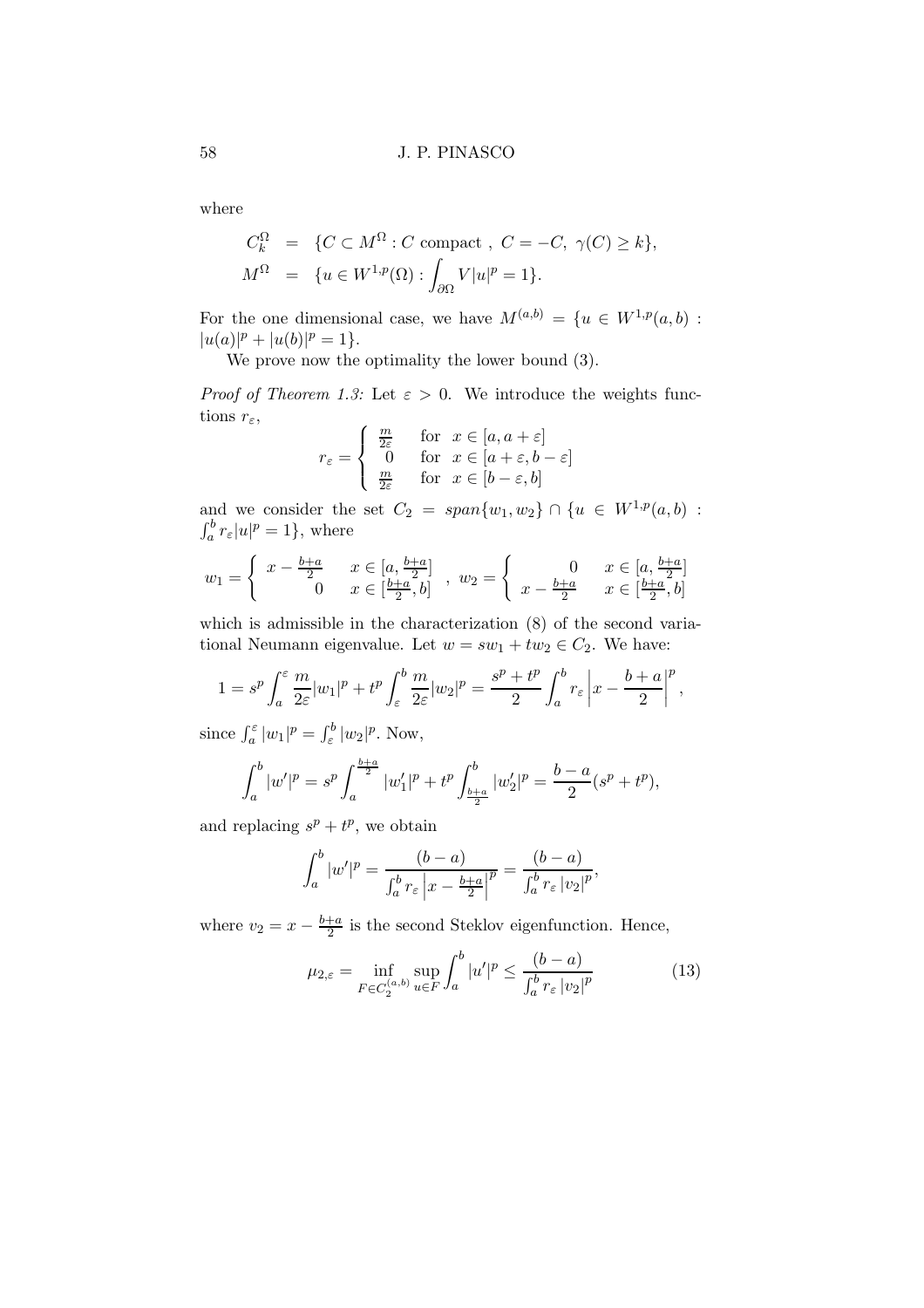where

$$
C_k^{\Omega} = \{ C \subset M^{\Omega} : C \text{ compact}, C = -C, \gamma(C) \ge k \},
$$
  

$$
M^{\Omega} = \{ u \in W^{1,p}(\Omega) : \int_{\partial \Omega} V|u|^p = 1 \}.
$$

For the one dimensional case, we have  $M^{(a,b)} = \{u \in W^{1,p}(a,b) :$  $|u(a)|^p + |u(b)|^p = 1$ .

We prove now the optimality the lower bound (3).

*Proof of Theorem 1.3:* Let  $\varepsilon > 0$ . We introduce the weights functions  $r_{\varepsilon}$ ,

$$
r_{\varepsilon} = \begin{cases} \frac{m}{2\varepsilon} & \text{for } x \in [a, a + \varepsilon] \\ 0 & \text{for } x \in [a + \varepsilon, b - \varepsilon] \\ \frac{m}{2\varepsilon} & \text{for } x \in [b - \varepsilon, b] \end{cases}
$$

and we consider the set  $C_2 = span{w_1, w_2} \cap {u \in W^{1,p}(a, b) :}$  $\int_a^b r_\varepsilon |u|^p = 1$ , where

$$
w_1 = \begin{cases} x - \frac{b+a}{2} & x \in [a, \frac{b+a}{2}] \\ 0 & x \in [\frac{b+a}{2}, b] \end{cases}, w_2 = \begin{cases} 0 & x \in [a, \frac{b+a}{2}] \\ x - \frac{b+a}{2} & x \in [\frac{b+a}{2}, b] \end{cases}
$$

which is admissible in the characterization (8) of the second variational Neumann eigenvalue. Let  $w = sw_1 + tw_2 \in C_2$ . We have:

$$
1 = sp \int_a^{\varepsilon} \frac{m}{2\varepsilon} |w_1|^p + t^p \int_{\varepsilon}^b \frac{m}{2\varepsilon} |w_2|^p = \frac{s^p + t^p}{2} \int_a^b r_{\varepsilon} \left| x - \frac{b+a}{2} \right|^p,
$$

since  $\int_a^{\varepsilon} |w_1|^p = \int_{\varepsilon}^b |w_2|^p$ . Now,

$$
\int_a^b |w'|^p = s^p \int_a^{\frac{b+a}{2}} |w'_1|^p + t^p \int_{\frac{b+a}{2}}^b |w'_2|^p = \frac{b-a}{2}(s^p + t^p),
$$

and replacing  $s^p + t^p$ , we obtain

$$
\int_a^b |w'|^p = \frac{(b-a)}{\int_a^b r_\varepsilon |x - \frac{b+a}{2}|^p} = \frac{(b-a)}{\int_a^b r_\varepsilon |v_2|^p},
$$

where  $v_2 = x - \frac{b+a}{2}$  $\frac{+a}{2}$  is the second Steklov eigenfunction. Hence,

$$
\mu_{2,\varepsilon} = \inf_{F \in C_2^{(a,b)}} \sup_{u \in F} \int_a^b |u'|^p \le \frac{(b-a)}{\int_a^b r_\varepsilon |v_2|^p} \tag{13}
$$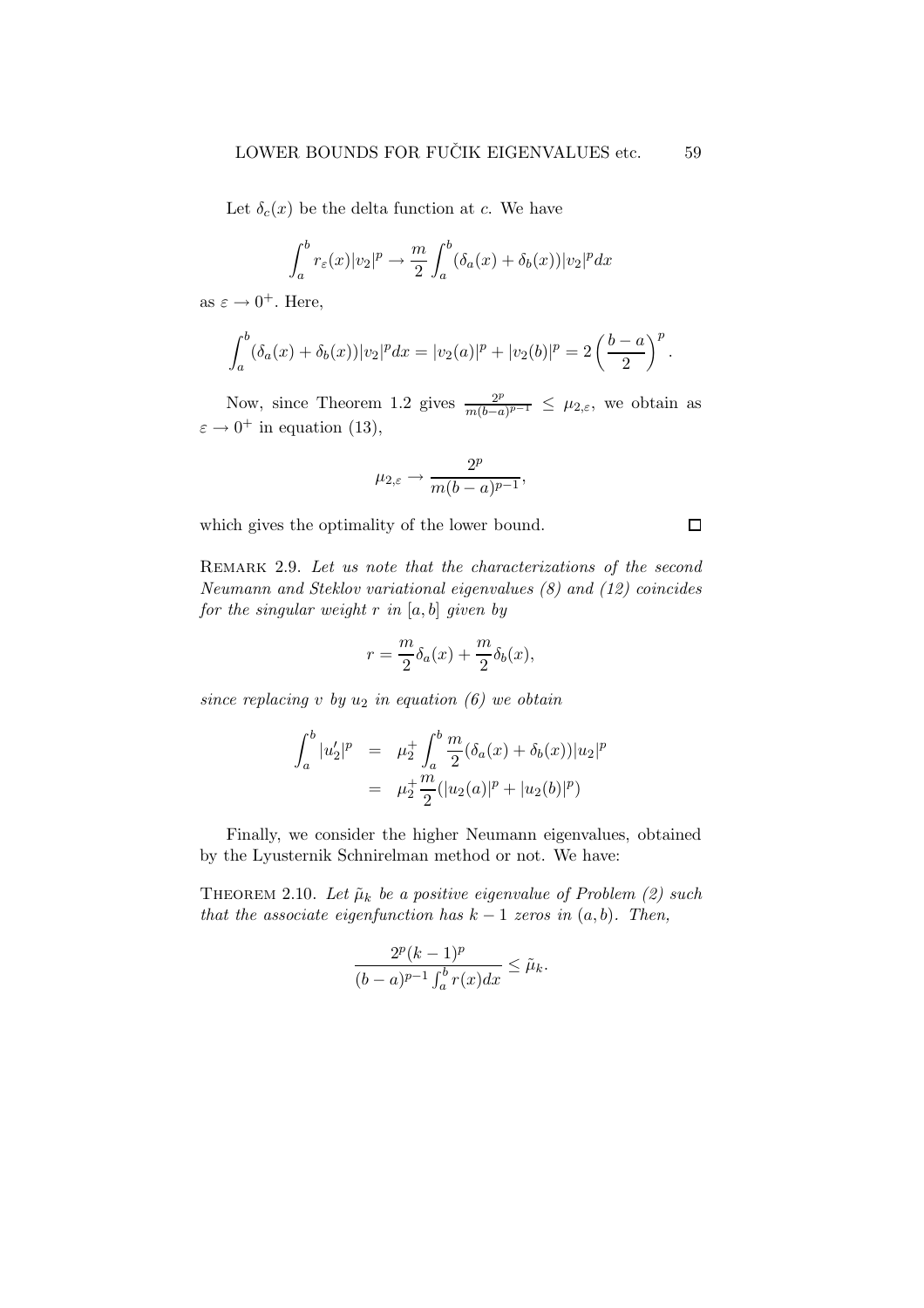Let  $\delta_c(x)$  be the delta function at c. We have

$$
\int_a^b r_\varepsilon(x)|v_2|^p \to \frac{m}{2} \int_a^b (\delta_a(x) + \delta_b(x))|v_2|^p dx
$$

as  $\varepsilon \to 0^+$ . Here,

$$
\int_a^b (\delta_a(x) + \delta_b(x)) |v_2|^p dx = |v_2(a)|^p + |v_2(b)|^p = 2\left(\frac{b-a}{2}\right)^p.
$$

Now, since Theorem 1.2 gives  $\frac{2^p}{m(b-a)}$  $\frac{2^p}{m(b-a)^{p-1}} \leq \mu_{2,\varepsilon}$ , we obtain as  $\varepsilon \to 0^+$  in equation (13),

$$
\mu_{2,\varepsilon} \to \frac{2^p}{m(b-a)^{p-1}},
$$

which gives the optimality of the lower bound.

REMARK 2.9. Let us note that the characterizations of the second Neumann and Steklov variational eigenvalues (8) and (12) coincides for the singular weight  $r$  in  $[a, b]$  given by

$$
r = \frac{m}{2}\delta_a(x) + \frac{m}{2}\delta_b(x),
$$

since replacing v by  $u_2$  in equation (6) we obtain

$$
\int_{a}^{b} |u_2'|^p = \mu_2^+ \int_{a}^{b} \frac{m}{2} (\delta_a(x) + \delta_b(x)) |u_2|^p
$$
  
=  $\mu_2^+ \frac{m}{2} (|u_2(a)|^p + |u_2(b)|^p)$ 

Finally, we consider the higher Neumann eigenvalues, obtained by the Lyusternik Schnirelman method or not. We have:

THEOREM 2.10. Let  $\tilde{\mu}_k$  be a positive eigenvalue of Problem (2) such that the associate eigenfunction has  $k - 1$  zeros in  $(a, b)$ . Then,

$$
\frac{2^p(k-1)^p}{(b-a)^{p-1}\int_a^b r(x)dx} \leq \tilde{\mu}_k.
$$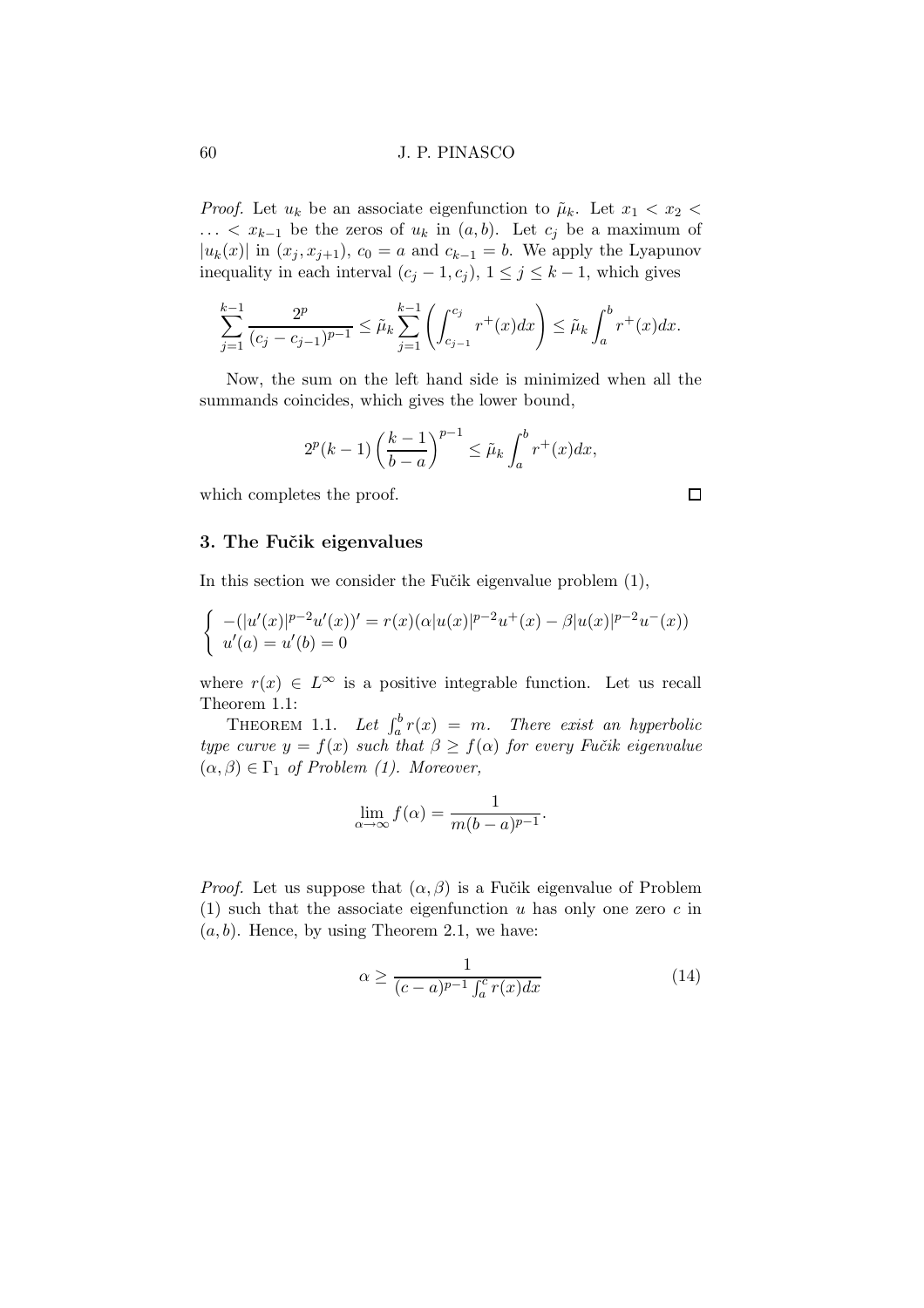*Proof.* Let  $u_k$  be an associate eigenfunction to  $\tilde{\mu}_k$ . Let  $x_1 < x_2 <$ ... <  $x_{k-1}$  be the zeros of  $u_k$  in  $(a, b)$ . Let  $c_j$  be a maximum of  $|u_k(x)|$  in  $(x_j, x_{j+1}), c_0 = a$  and  $c_{k-1} = b$ . We apply the Lyapunov inequality in each interval  $(c_j - 1, c_j)$ ,  $1 \leq j \leq k - 1$ , which gives

$$
\sum_{j=1}^{k-1} \frac{2^p}{(c_j - c_{j-1})^{p-1}} \le \tilde{\mu}_k \sum_{j=1}^{k-1} \left( \int_{c_{j-1}}^{c_j} r^+(x) dx \right) \le \tilde{\mu}_k \int_a^b r^+(x) dx.
$$

Now, the sum on the left hand side is minimized when all the summands coincides, which gives the lower bound,

$$
2^{p}(k-1)\left(\frac{k-1}{b-a}\right)^{p-1} \leq \tilde{\mu}_k \int_a^b r^+(x)dx,
$$

which completes the proof.

## 3. The Fučik eigenvalues

In this section we consider the Fučik eigenvalue problem  $(1)$ ,

$$
\begin{cases}\n-(|u'(x)|^{p-2}u'(x))' = r(x)(\alpha|u(x)|^{p-2}u^+(x) - \beta|u(x)|^{p-2}u^-(x)) \\
u'(a) = u'(b) = 0\n\end{cases}
$$

where  $r(x) \in L^{\infty}$  is a positive integrable function. Let us recall Theorem 1.1:

THEOREM 1.1. Let  $\int_a^b r(x) = m$ . There exist an hyperbolic type curve  $y = f(x)$  such that  $\beta \geq f(\alpha)$  for every Fučik eigenvalue  $(\alpha, \beta) \in \Gamma_1$  of Problem (1). Moreover,

$$
\lim_{\alpha \to \infty} f(\alpha) = \frac{1}{m(b-a)^{p-1}}.
$$

*Proof.* Let us suppose that  $(\alpha, \beta)$  is a Fučik eigenvalue of Problem (1) such that the associate eigenfunction u has only one zero  $c$  in  $(a, b)$ . Hence, by using Theorem 2.1, we have:

$$
\alpha \ge \frac{1}{(c-a)^{p-1} \int_a^c r(x) dx} \tag{14}
$$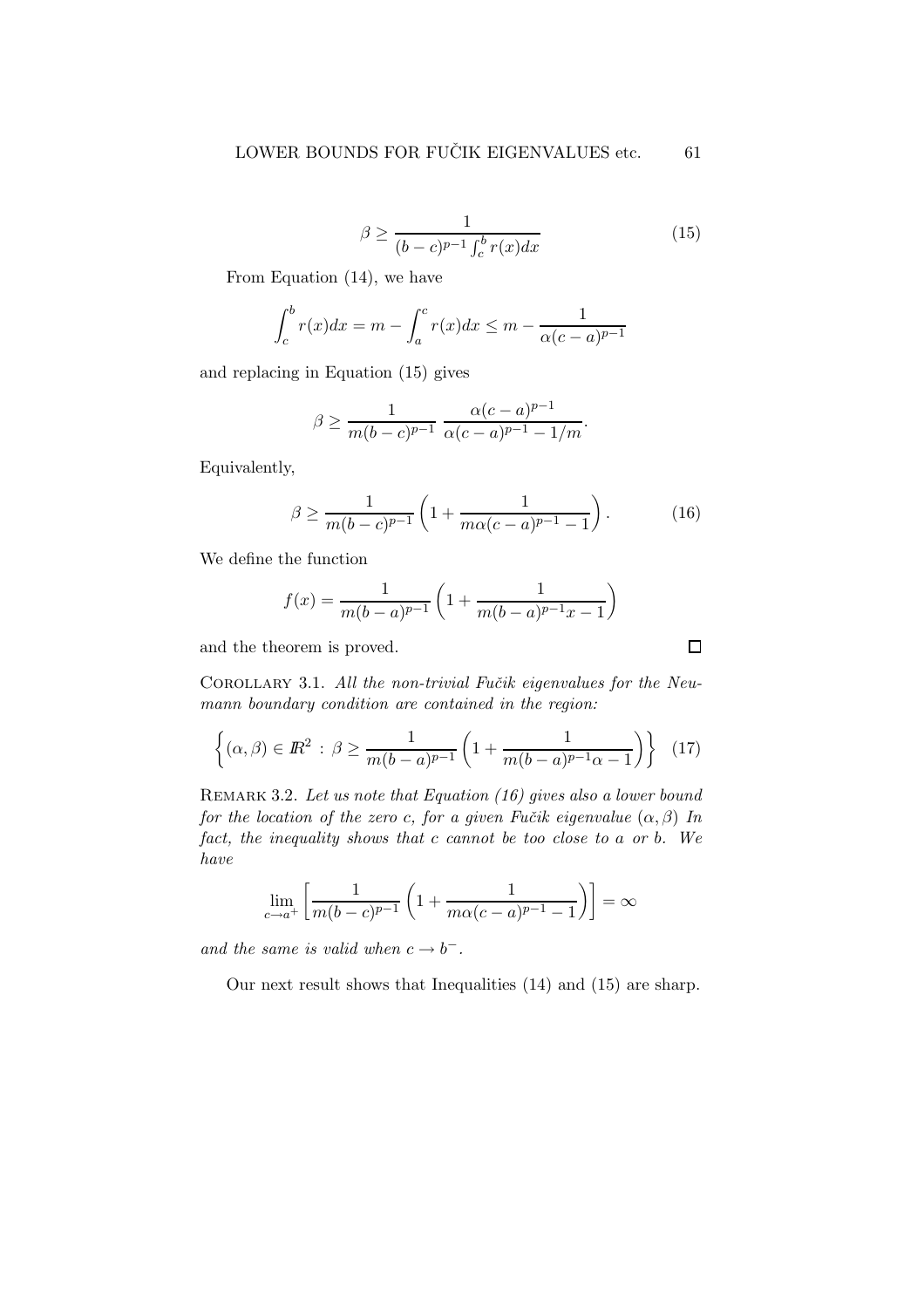$$
\beta \ge \frac{1}{(b-c)^{p-1} \int_c^b r(x) dx} \tag{15}
$$

From Equation (14), we have

$$
\int_{c}^{b} r(x)dx = m - \int_{a}^{c} r(x)dx \le m - \frac{1}{\alpha(c-a)^{p-1}}
$$

and replacing in Equation (15) gives

$$
\beta \ge \frac{1}{m(b-c)^{p-1}} \frac{\alpha(c-a)^{p-1}}{\alpha(c-a)^{p-1} - 1/m}.
$$

Equivalently,

$$
\beta \ge \frac{1}{m(b-c)^{p-1}} \left( 1 + \frac{1}{m\alpha(c-a)^{p-1} - 1} \right). \tag{16}
$$

We define the function

$$
f(x) = \frac{1}{m(b-a)^{p-1}} \left( 1 + \frac{1}{m(b-a)^{p-1}x - 1} \right)
$$

and the theorem is proved.

COROLLARY 3.1. All the non-trivial Fučik eigenvalues for the Neumann boundary condition are contained in the region:

$$
\left\{ (\alpha, \beta) \in \mathbb{R}^2 \, : \, \beta \ge \frac{1}{m(b-a)^{p-1}} \left( 1 + \frac{1}{m(b-a)^{p-1} \alpha - 1} \right) \right\} \tag{17}
$$

REMARK 3.2. Let us note that Equation  $(16)$  gives also a lower bound for the location of the zero c, for a given Fučik eigenvalue  $(\alpha, \beta)$  In fact, the inequality shows that c cannot be too close to a or b. We have

$$
\lim_{c \to a^{+}} \left[ \frac{1}{m(b-c)^{p-1}} \left( 1 + \frac{1}{m\alpha(c-a)^{p-1} - 1} \right) \right] = \infty
$$

and the same is valid when  $c \to b^-$ .

Our next result shows that Inequalities (14) and (15) are sharp.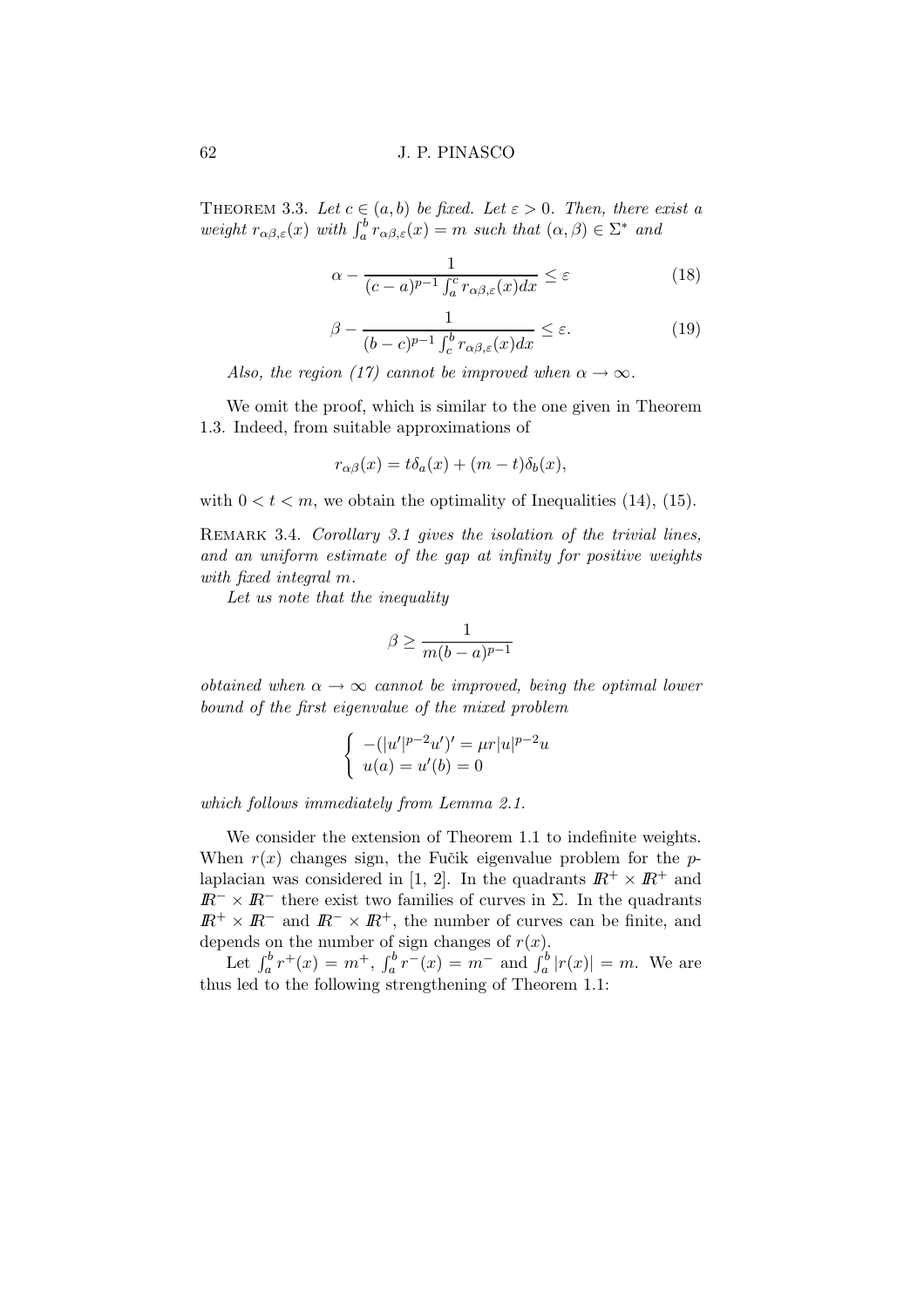#### 62 J. P. PINASCO

THEOREM 3.3. Let  $c \in (a, b)$  be fixed. Let  $\varepsilon > 0$ . Then, there exist a weight  $r_{\alpha\beta,\varepsilon}(x)$  with  $\int_a^b r_{\alpha\beta,\varepsilon}(x) = m$  such that  $(\alpha,\beta) \in \Sigma^*$  and

$$
\alpha - \frac{1}{(c-a)^{p-1} \int_a^c r_{\alpha\beta,\varepsilon}(x) dx} \le \varepsilon \tag{18}
$$

$$
\beta - \frac{1}{(b-c)^{p-1} \int_c^b r_{\alpha\beta,\varepsilon}(x)dx} \le \varepsilon.
$$
 (19)

Also, the region (17) cannot be improved when  $\alpha \rightarrow \infty$ .

We omit the proof, which is similar to the one given in Theorem 1.3. Indeed, from suitable approximations of

$$
r_{\alpha\beta}(x) = t\delta_a(x) + (m-t)\delta_b(x),
$$

with  $0 < t < m$ , we obtain the optimality of Inequalities (14), (15).

REMARK 3.4. Corollary 3.1 gives the isolation of the trivial lines, and an uniform estimate of the gap at infinity for positive weights with fixed integral m.

Let us note that the inequality

$$
\beta \ge \frac{1}{m(b-a)^{p-1}}
$$

obtained when  $\alpha \to \infty$  cannot be improved, being the optimal lower bound of the first eigenvalue of the mixed problem

$$
\begin{cases}\n-(|u'|^{p-2}u')' = \mu r |u|^{p-2}u \\
u(a) = u'(b) = 0\n\end{cases}
$$

which follows immediately from Lemma 2.1.

We consider the extension of Theorem 1.1 to indefinite weights. When  $r(x)$  changes sign, the Fučik eigenvalue problem for the plaplacian was considered in [1, 2]. In the quadrants  $\mathbb{R}^+ \times \mathbb{R}^+$  and  $I\!\!R^{-} \times I\!\!R^{-}$  there exist two families of curves in  $\Sigma$ . In the quadrants  $\mathbb{R}^+ \times \mathbb{R}^-$  and  $\mathbb{R}^- \times \mathbb{R}^+$ , the number of curves can be finite, and depends on the number of sign changes of  $r(x)$ .

Let  $\int_a^b r^+(x) = m^+$ ,  $\int_a^b r^-(x) = m^-$  and  $\int_a^b |r(x)| = m$ . We are thus led to the following strengthening of Theorem 1.1: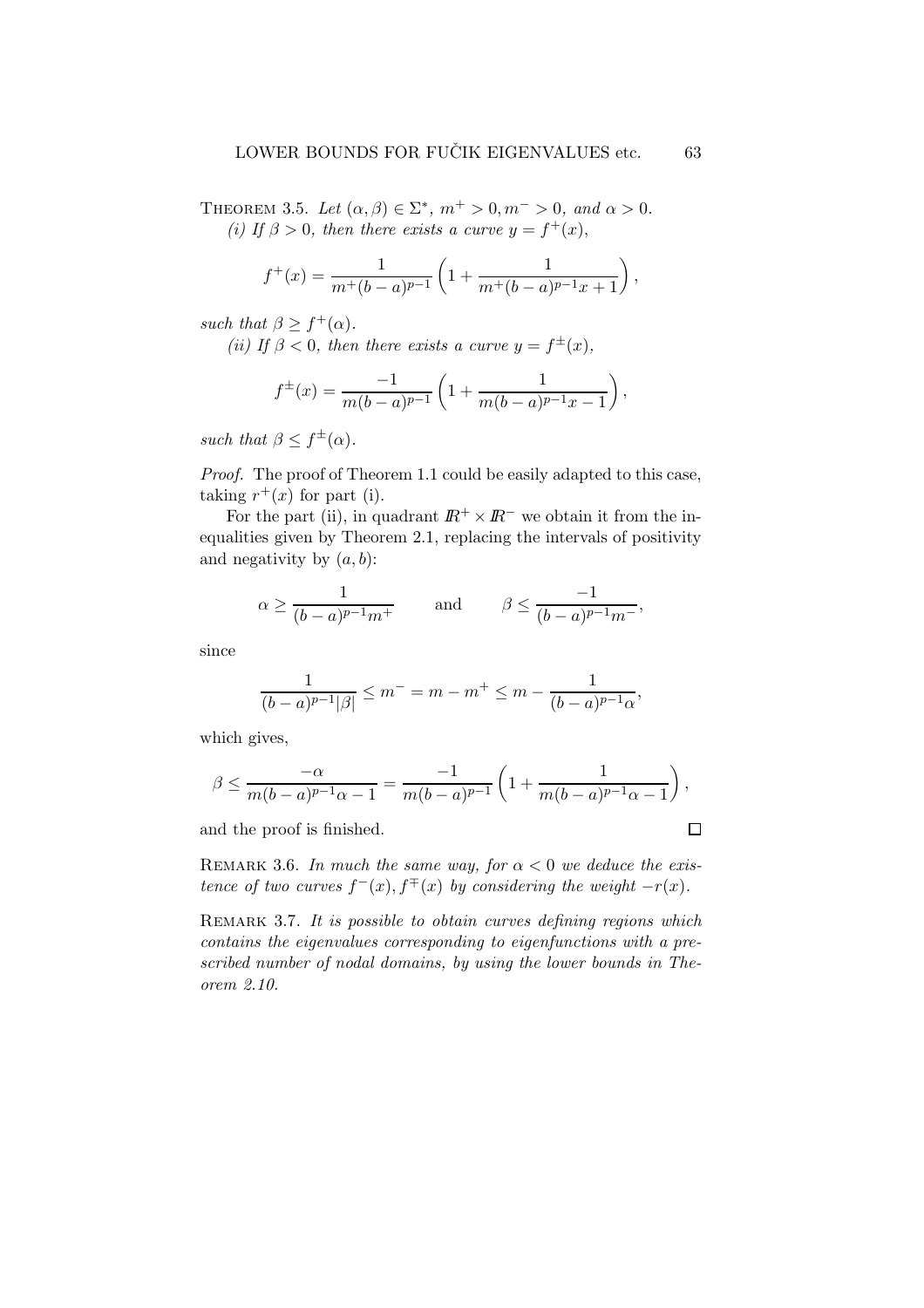THEOREM 3.5. Let  $(\alpha, \beta) \in \Sigma^*$ ,  $m^+ > 0$ ,  $m^- > 0$ , and  $\alpha > 0$ . (i) If  $\beta > 0$ , then there exists a curve  $y = f^+(x)$ ,

$$
f^{+}(x) = \frac{1}{m^{+}(b-a)^{p-1}} \left( 1 + \frac{1}{m^{+}(b-a)^{p-1}x + 1} \right),
$$

such that  $\beta \geq f^+(\alpha)$ .

(ii) If  $\beta < 0$ , then there exists a curve  $y = f^{\pm}(x)$ ,

$$
f^{\pm}(x) = \frac{-1}{m(b-a)^{p-1}} \left( 1 + \frac{1}{m(b-a)^{p-1}x - 1} \right),
$$

such that  $\beta \leq f^{\pm}(\alpha)$ .

Proof. The proof of Theorem 1.1 could be easily adapted to this case, taking  $r^+(x)$  for part (i).

For the part (ii), in quadrant  $\mathbb{R}^+ \times \mathbb{R}^-$  we obtain it from the inequalities given by Theorem 2.1, replacing the intervals of positivity and negativity by  $(a, b)$ :

$$
\alpha \ge \frac{1}{(b-a)^{p-1}m^+} \qquad \text{ and } \qquad \beta \le \frac{-1}{(b-a)^{p-1}m^-},
$$

since

$$
\frac{1}{(b-a)^{p-1}|\beta|} \le m^- = m - m^+ \le m - \frac{1}{(b-a)^{p-1}\alpha},
$$

which gives,

$$
\beta \le \frac{-\alpha}{m(b-a)^{p-1}\alpha - 1} = \frac{-1}{m(b-a)^{p-1}} \left( 1 + \frac{1}{m(b-a)^{p-1}\alpha - 1} \right),
$$

and the proof is finished.

REMARK 3.6. In much the same way, for  $\alpha < 0$  we deduce the existence of two curves  $f^-(x)$ ,  $f^{\mp}(x)$  by considering the weight  $-r(x)$ .

REMARK 3.7. It is possible to obtain curves defining regions which contains the eigenvalues corresponding to eigenfunctions with a prescribed number of nodal domains, by using the lower bounds in Theorem 2.10.